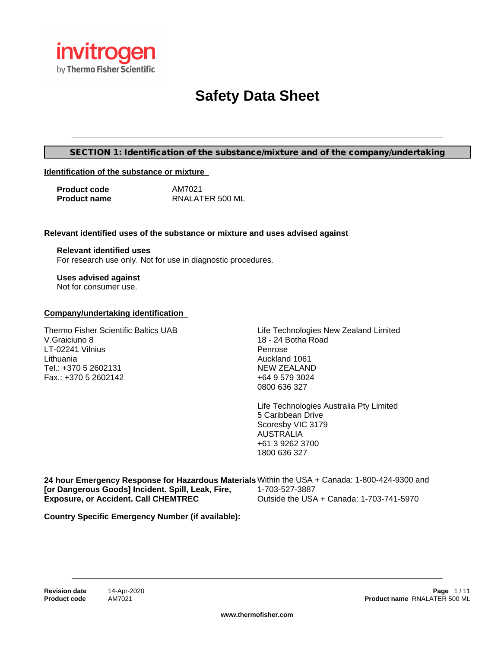

# **Safety Data Sheet**

#### **SECTION 1: Identification of the substance/mixture and of the company/undertaking**

\_\_\_\_\_\_\_\_\_\_\_\_\_\_\_\_\_\_\_\_\_\_\_\_\_\_\_\_\_\_\_\_\_\_\_\_\_\_\_\_\_\_\_\_\_\_\_\_\_\_\_\_\_\_\_\_\_\_\_\_\_\_\_\_\_\_\_\_\_\_\_\_\_\_\_\_\_\_\_\_\_\_\_\_\_\_\_\_\_\_\_\_\_\_\_\_\_\_\_\_\_\_

#### **Identification of the substance or mixture**

| <b>Product code</b> | AM7021          |
|---------------------|-----------------|
| <b>Product name</b> | RNALATER 500 ML |

#### **Relevant identified uses of the substance or mixture and uses advised against**

**Relevant identified uses** For research use only. Not for use in diagnostic procedures.

**Uses advised against** Not for consumer use.

#### **Company/undertaking identification**

Thermo Fisher Scientific Baltics UAB V.Graiciuno 8 LT-02241 Vilnius Lithuania Tel.: +370 5 2602131 Fax.: +370 5 2602142

Life Technologies New Zealand Limited 18 - 24 Botha Road Penrose Auckland 1061 NEW ZEALAND +64 9 579 3024 0800 636 327

Life Technologies Australia Pty Limited 5 Caribbean Drive Scoresby VIC 3179 AUSTRALIA +61 3 9262 3700 1800 636 327

**24 hour Emergency Response for Hazardous Materials** Within the USA + Canada: 1-800-424-9300 and **[or Dangerous Goods] Incident. Spill, Leak, Fire, Exposure, or Accident. Call CHEMTREC** 1-703-527-3887 Outside the USA + Canada: 1-703-741-5970

**Country Specific Emergency Number (if available):**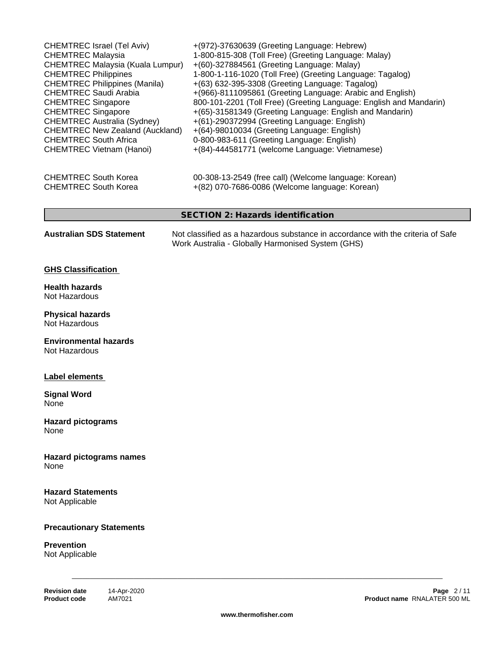| CHEMTREC Israel (Tel Aviv)<br><b>CHEMTREC Malaysia</b><br><b>CHEMTREC Malaysia (Kuala Lumpur)</b><br><b>CHEMTREC Philippines</b><br><b>CHEMTREC Philippines (Manila)</b><br><b>CHEMTREC Saudi Arabia</b><br><b>CHEMTREC Singapore</b><br><b>CHEMTREC Singapore</b><br><b>CHEMTREC Australia (Sydney)</b><br><b>CHEMTREC New Zealand (Auckland)</b><br><b>CHEMTREC South Africa</b><br><b>CHEMTREC Vietnam (Hanoi)</b> | +(972)-37630639 (Greeting Language: Hebrew)<br>1-800-815-308 (Toll Free) (Greeting Language: Malay)<br>+(60)-327884561 (Greeting Language: Malay)<br>1-800-1-116-1020 (Toll Free) (Greeting Language: Tagalog)<br>+(63) 632-395-3308 (Greeting Language: Tagalog)<br>+(966)-8111095861 (Greeting Language: Arabic and English)<br>800-101-2201 (Toll Free) (Greeting Language: English and Mandarin)<br>+(65)-31581349 (Greeting Language: English and Mandarin)<br>+(61)-290372994 (Greeting Language: English)<br>+(64)-98010034 (Greeting Language: English)<br>0-800-983-611 (Greeting Language: English)<br>+(84)-444581771 (welcome Language: Vietnamese) |
|-----------------------------------------------------------------------------------------------------------------------------------------------------------------------------------------------------------------------------------------------------------------------------------------------------------------------------------------------------------------------------------------------------------------------|-----------------------------------------------------------------------------------------------------------------------------------------------------------------------------------------------------------------------------------------------------------------------------------------------------------------------------------------------------------------------------------------------------------------------------------------------------------------------------------------------------------------------------------------------------------------------------------------------------------------------------------------------------------------|
| <b>CHEMTREC South Korea</b><br><b>CHEMTREC South Korea</b>                                                                                                                                                                                                                                                                                                                                                            | 00-308-13-2549 (free call) (Welcome language: Korean)<br>+(82) 070-7686-0086 (Welcome language: Korean)                                                                                                                                                                                                                                                                                                                                                                                                                                                                                                                                                         |
|                                                                                                                                                                                                                                                                                                                                                                                                                       | <b>SECTION 2: Hazards identification</b>                                                                                                                                                                                                                                                                                                                                                                                                                                                                                                                                                                                                                        |
| <b>Australian SDS Statement</b>                                                                                                                                                                                                                                                                                                                                                                                       | Not classified as a hazardous substance in accordance with the criteria of Safe<br>Work Australia - Globally Harmonised System (GHS)                                                                                                                                                                                                                                                                                                                                                                                                                                                                                                                            |
| <b>GHS Classification</b>                                                                                                                                                                                                                                                                                                                                                                                             |                                                                                                                                                                                                                                                                                                                                                                                                                                                                                                                                                                                                                                                                 |
| <b>Health hazards</b><br>Not Hazardous                                                                                                                                                                                                                                                                                                                                                                                |                                                                                                                                                                                                                                                                                                                                                                                                                                                                                                                                                                                                                                                                 |
| <b>Physical hazards</b><br>Not Hazardous                                                                                                                                                                                                                                                                                                                                                                              |                                                                                                                                                                                                                                                                                                                                                                                                                                                                                                                                                                                                                                                                 |
| <b>Environmental hazards</b><br>Not Hazardous                                                                                                                                                                                                                                                                                                                                                                         |                                                                                                                                                                                                                                                                                                                                                                                                                                                                                                                                                                                                                                                                 |
| Label elements                                                                                                                                                                                                                                                                                                                                                                                                        |                                                                                                                                                                                                                                                                                                                                                                                                                                                                                                                                                                                                                                                                 |
| <b>Signal Word</b><br>None                                                                                                                                                                                                                                                                                                                                                                                            |                                                                                                                                                                                                                                                                                                                                                                                                                                                                                                                                                                                                                                                                 |
| <b>Hazard pictograms</b><br>None                                                                                                                                                                                                                                                                                                                                                                                      |                                                                                                                                                                                                                                                                                                                                                                                                                                                                                                                                                                                                                                                                 |
| <b>Hazard pictograms names</b><br>None                                                                                                                                                                                                                                                                                                                                                                                |                                                                                                                                                                                                                                                                                                                                                                                                                                                                                                                                                                                                                                                                 |
| <b>Hazard Statements</b><br>Not Applicable                                                                                                                                                                                                                                                                                                                                                                            |                                                                                                                                                                                                                                                                                                                                                                                                                                                                                                                                                                                                                                                                 |
| <b>Precautionary Statements</b>                                                                                                                                                                                                                                                                                                                                                                                       |                                                                                                                                                                                                                                                                                                                                                                                                                                                                                                                                                                                                                                                                 |
| <b>Prevention</b><br>Not Applicable                                                                                                                                                                                                                                                                                                                                                                                   |                                                                                                                                                                                                                                                                                                                                                                                                                                                                                                                                                                                                                                                                 |
|                                                                                                                                                                                                                                                                                                                                                                                                                       |                                                                                                                                                                                                                                                                                                                                                                                                                                                                                                                                                                                                                                                                 |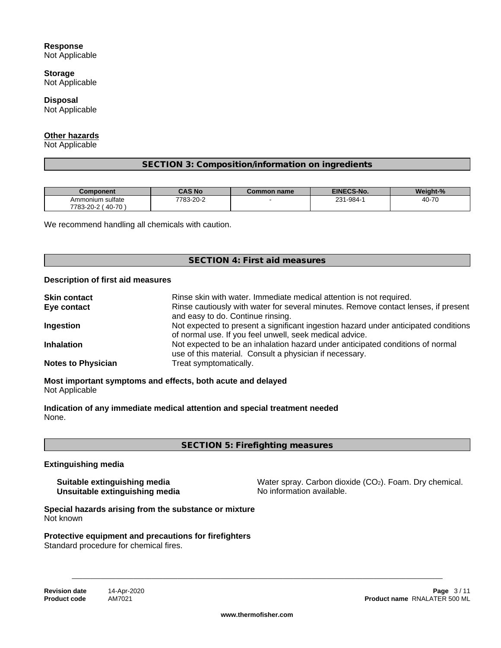## **Response**

Not Applicable

**Storage** Not Applicable

**Disposal** Not Applicable

# **Other hazards**

Not Applicable

# **SECTION 3: Composition/information on ingredients**

| <b>Component</b>                               | CAS No    | $\sim$ ommon name $\sim$ | <b>EINECS-No.</b> | Weight-%                |
|------------------------------------------------|-----------|--------------------------|-------------------|-------------------------|
| $\sim$ $\sim$<br>Ammonium sulfate              | 7783-20-2 |                          | 231-984-          | $10-70$<br>יי-י∨<br>4U. |
| $40 - 7$<br>$\overline{z}$<br>7783-20-2<br>ט י |           |                          |                   |                         |

We recommend handling all chemicals with caution.

## **SECTION 4: First aid measures**

#### **Description of first aid measures**

| <b>Skin contact</b>       | Rinse skin with water. Immediate medical attention is not required.                                                                            |
|---------------------------|------------------------------------------------------------------------------------------------------------------------------------------------|
| Eye contact               | Rinse cautiously with water for several minutes. Remove contact lenses, if present<br>and easy to do. Continue rinsing.                        |
| Ingestion                 | Not expected to present a significant ingestion hazard under anticipated conditions<br>of normal use. If you feel unwell, seek medical advice. |
| <b>Inhalation</b>         | Not expected to be an inhalation hazard under anticipated conditions of normal<br>use of this material. Consult a physician if necessary.      |
| <b>Notes to Physician</b> | Treat symptomatically.                                                                                                                         |

**Most important symptoms and effects, both acute and delayed** Not Applicable

**Indication of any immediate medical attention and special treatment needed** None.

**SECTION 5: Firefighting measures**

#### **Extinguishing media**

**Unsuitable extinguishing media** 

**Suitable extinguishing media** Water spray. Carbon dioxide (CO<sub>2</sub>). Foam. Dry chemical.<br> **Unsuitable extinguishing media** Water Show information available.

**Special hazards arising from the substance or mixture** Not known

**Protective equipment and precautions for firefighters** Standard procedure for chemical fires.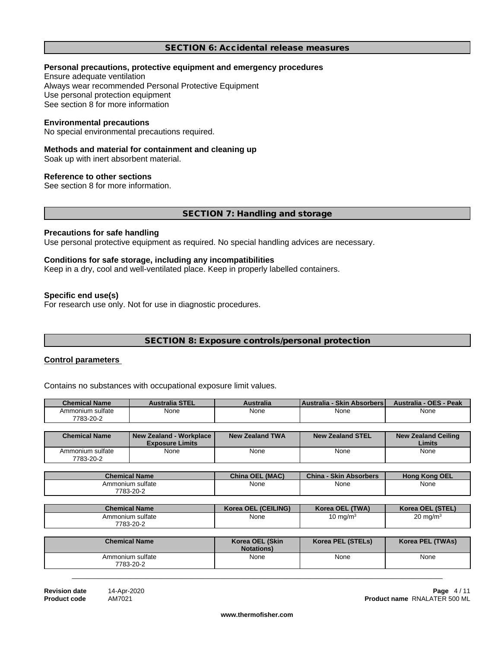#### **SECTION 6: Accidental release measures**

#### **Personal precautions, protective equipment and emergency procedures**

Ensure adequate ventilation Always wear recommended Personal Protective Equipment Use personal protection equipment See section 8 for more information

#### **Environmental precautions**

No special environmental precautions required.

#### **Methods and material for containment and cleaning up**

Soak up with inert absorbent material.

#### **Reference to other sections**

See section 8 for more information.

#### **SECTION 7: Handling and storage**

#### **Precautions for safe handling**

Use personal protective equipment as required. No special handling advices are necessary.

#### **Conditions for safe storage, including any incompatibilities**

Keep in a dry, cool and well-ventilated place. Keep in properly labelled containers.

#### **Specific end use(s)**

For research use only. Not for use in diagnostic procedures.

# **SECTION 8: Exposure controls/personal protection**

#### **Control parameters**

Contains no substances with occupational exposure limit values.

| <b>Chemical Name</b> | <b>Australia STEL</b> | Australia | <b>Australia</b><br><b>Skin</b><br><b>Absorbers</b> | - Peak<br><b>Australia</b><br>- OES - |
|----------------------|-----------------------|-----------|-----------------------------------------------------|---------------------------------------|
| Ammonium sulfate     | None                  | None      | None                                                | None                                  |
| 7783-20-2            |                       |           |                                                     |                                       |

| <b>Chemical Name</b>          | New Zealand - Workplace  <br><b>Exposure Limits</b> | New Zealand TWA | New Zealand STEL | <b>New Zealand Ceiling</b><br>Limits |
|-------------------------------|-----------------------------------------------------|-----------------|------------------|--------------------------------------|
| Ammonium sulfate<br>7783-20-2 | None                                                | None            | None             | None                                 |

| <b>Chemical Name</b> | . (MAC)<br><b>China OEL</b> | China<br><b>Skin</b><br><b>Absorbers</b>    | <b>Hong Kong OEL</b>  |
|----------------------|-----------------------------|---------------------------------------------|-----------------------|
| Ammonium sulfate     | None<br>$\sim$ $\sim$       | None<br>the contract of the contract of the | None<br>$\sim$ $\sim$ |
| 7783-20-2            |                             |                                             |                       |

| <b>Chemical Name</b> | Korea OEL (CEILING)   | (TWA)<br><b>Korea OEL</b> | Korea OEL (STEL) |
|----------------------|-----------------------|---------------------------|------------------|
| Ammonium sulfate     | None<br>$\sim$ $\sim$ | , mg/m <sup>3</sup>       | ი ma/m∘          |
| 7783-20-2            |                       |                           |                  |

| <b>Chemical Name</b>          | Korea OEL (Skin<br><b>Notations</b> ) | Korea PEL (STELs) | Korea PEL (TWAs) |
|-------------------------------|---------------------------------------|-------------------|------------------|
| Ammonium sulfate<br>7783-20-2 | None                                  | None              | None             |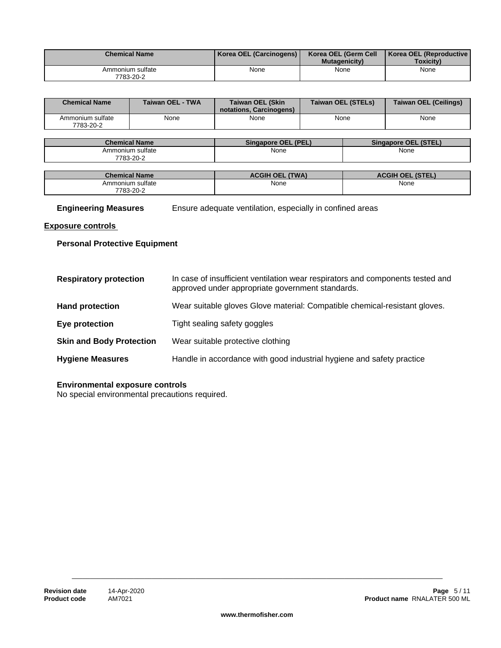| <b>Chemical Name</b>          | Korea OEL (Carcinogens) | Korea OEL (Germ Cell<br><b>Mutagenicity</b> | Korea OEL (Reproductive<br><b>Toxicity</b> ) |
|-------------------------------|-------------------------|---------------------------------------------|----------------------------------------------|
| Ammonium sulfate<br>7783-20-2 | None                    | None                                        | None                                         |

| <b>Chemical Name</b>          | Taiwan OEL - TWA | <b>Taiwan OEL (Skin</b><br>notations. Carcinogens) | Taiwan OEL (STELs) | Taiwan OEL (Ceilings) |
|-------------------------------|------------------|----------------------------------------------------|--------------------|-----------------------|
| Ammonium sulfate<br>7783-20-2 | None             | None                                               | None               | None                  |

| <b>Chemical Name</b> | (PEL.<br><b>Singapore OEL</b> | <b>STEL</b><br><b>Singapore OEL</b> |
|----------------------|-------------------------------|-------------------------------------|
| Ammonium sulfate     | None<br>.                     | None                                |
| 7783-20-2            |                               |                                     |

| <b>Chemical Name</b> | 'TWA)<br>CGIH<br><b>OEL</b> | <b>ACGIH OEL (STEL)</b> |
|----------------------|-----------------------------|-------------------------|
| Ammonium sulfate     | None                        | None                    |
| 7783-20-2            |                             |                         |

**Engineering Measures** Ensure adequate ventilation, especially in confined areas

# **Exposure controls**

# **Personal Protective Equipment**

| <b>Respiratory protection</b>   | In case of insufficient ventilation wear respirators and components tested and<br>approved under appropriate government standards. |
|---------------------------------|------------------------------------------------------------------------------------------------------------------------------------|
| <b>Hand protection</b>          | Wear suitable gloves Glove material: Compatible chemical-resistant gloves.                                                         |
| Eye protection                  | Tight sealing safety goggles                                                                                                       |
| <b>Skin and Body Protection</b> | Wear suitable protective clothing                                                                                                  |
| <b>Hygiene Measures</b>         | Handle in accordance with good industrial hygiene and safety practice                                                              |

## **Environmental exposure controls**

No special environmental precautions required.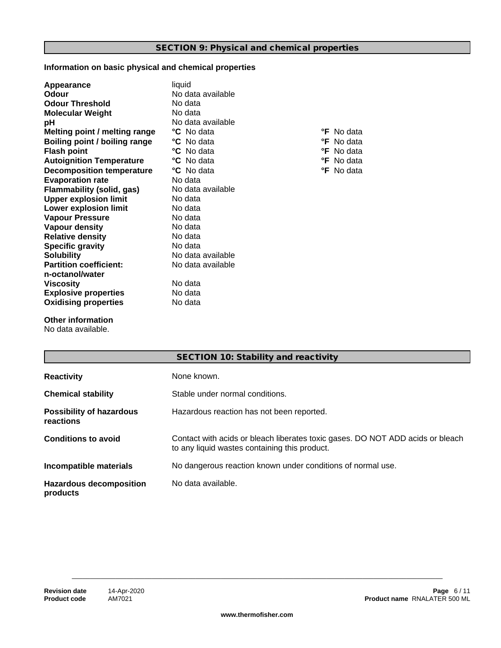# **Information on basic physical and chemical properties**

| Appearance                       | liquid            |                   |
|----------------------------------|-------------------|-------------------|
| Odour                            | No data available |                   |
| <b>Odour Threshold</b>           | No data           |                   |
| <b>Molecular Weight</b>          | No data           |                   |
| рH                               | No data available |                   |
| Melting point / melting range    | <b>°C</b> No data | <b>°F</b> No data |
| Boiling point / boiling range    | <b>°C</b> No data | <b>°F</b> No data |
| <b>Flash point</b>               | <b>°C</b> No data | <b>°F</b> No data |
| <b>Autoignition Temperature</b>  | <b>°C</b> No data | <b>°F</b> No data |
| <b>Decomposition temperature</b> | <b>°C</b> No data | <b>°F</b> No data |
| <b>Evaporation rate</b>          | No data           |                   |
| Flammability (solid, gas)        | No data available |                   |
| <b>Upper explosion limit</b>     | No data           |                   |
| <b>Lower explosion limit</b>     | No data           |                   |
| <b>Vapour Pressure</b>           | No data           |                   |
| Vapour density                   | No data           |                   |
| <b>Relative density</b>          | No data           |                   |
| <b>Specific gravity</b>          | No data           |                   |
| <b>Solubility</b>                | No data available |                   |
| <b>Partition coefficient:</b>    | No data available |                   |
| n-octanol/water                  |                   |                   |
| <b>Viscosity</b>                 | No data           |                   |
| <b>Explosive properties</b>      | No data           |                   |
| <b>Oxidising properties</b>      | No data           |                   |
|                                  |                   |                   |

**Other information**

No data available.

|                                              | SECTION 10: Stability and reactivity                                                                                            |
|----------------------------------------------|---------------------------------------------------------------------------------------------------------------------------------|
| <b>Reactivity</b>                            | None known.                                                                                                                     |
| <b>Chemical stability</b>                    | Stable under normal conditions.                                                                                                 |
| <b>Possibility of hazardous</b><br>reactions | Hazardous reaction has not been reported.                                                                                       |
| <b>Conditions to avoid</b>                   | Contact with acids or bleach liberates toxic gases. DO NOT ADD acids or bleach<br>to any liquid wastes containing this product. |
| Incompatible materials                       | No dangerous reaction known under conditions of normal use.                                                                     |
| <b>Hazardous decomposition</b><br>products   | No data available.                                                                                                              |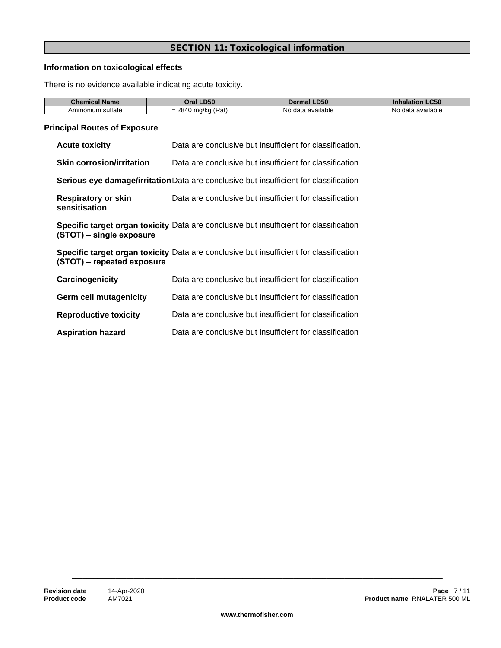## **SECTION 11: Toxicological information**

## **Information on toxicological effects**

There is no evidence available indicating acute toxicity.

| Chemical Name        | .D50<br>'Jra                            | ---<br>Y<br>.มวน          | <b>C50</b><br><u>Innalation</u> |
|----------------------|-----------------------------------------|---------------------------|---------------------------------|
| ⊧sultate<br>Ammonium | <b>PRAI</b><br>(Rat.<br>ma/ko<br>-<br>= | N.<br>a available<br>data | a available<br>No.<br>data      |

## **Principal Routes of Exposure**

| <b>Acute toxicity</b>                       | Data are conclusive but insufficient for classification.                                     |
|---------------------------------------------|----------------------------------------------------------------------------------------------|
| <b>Skin corrosion/irritation</b>            | Data are conclusive but insufficient for classification                                      |
|                                             | <b>Serious eye damage/irritation</b> Data are conclusive but insufficient for classification |
| <b>Respiratory or skin</b><br>sensitisation | Data are conclusive but insufficient for classification                                      |
| (STOT) – single exposure                    | Specific target organ toxicity Data are conclusive but insufficient for classification       |
| (STOT) – repeated exposure                  | Specific target organ toxicity Data are conclusive but insufficient for classification       |
| Carcinogenicity                             | Data are conclusive but insufficient for classification                                      |
| <b>Germ cell mutagenicity</b>               | Data are conclusive but insufficient for classification                                      |
| <b>Reproductive toxicity</b>                | Data are conclusive but insufficient for classification                                      |

**Aspiration hazard** Data are conclusive but insufficient for classification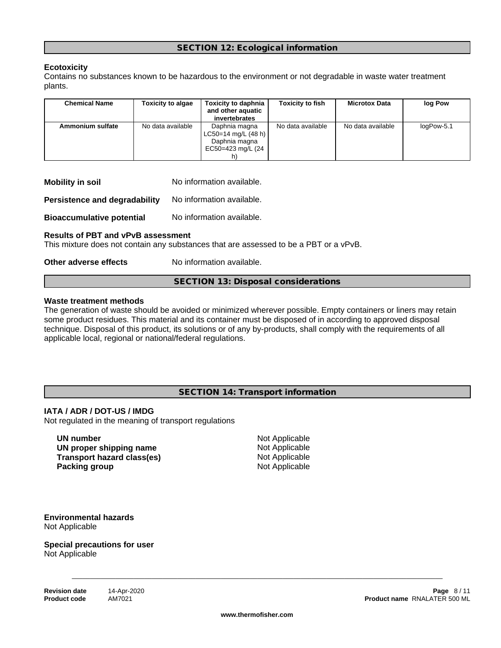# **Ecotoxicity**

Contains no substances known to be hazardous to the environment or not degradable in waste water treatment plants.

| <b>Chemical Name</b> | <b>Toxicity to algae</b> | <b>Toxicity to daphnia</b><br>and other aquatic | <b>Toxicity to fish</b> | <b>Microtox Data</b> | log Pow    |  |
|----------------------|--------------------------|-------------------------------------------------|-------------------------|----------------------|------------|--|
|                      |                          | invertebrates                                   |                         |                      |            |  |
| Ammonium sulfate     | No data available        | Daphnia magna<br>$LC50=14$ mg/L (48 h)          | No data available       | No data available    | logPow-5.1 |  |
|                      |                          | Daphnia magna                                   |                         |                      |            |  |
|                      |                          | EC50=423 mg/L (24                               |                         |                      |            |  |
|                      |                          |                                                 |                         |                      |            |  |

| <b>Mobility in soil</b> | No information available. |  |
|-------------------------|---------------------------|--|
|-------------------------|---------------------------|--|

**Persistence and degradability** No information available.

**Bioaccumulative potential** No information available.

#### **Results of PBT and vPvB assessment**

This mixture does not contain any substances that are assessed to be a PBT or a vPvB.

#### **Other adverse effects** No information available.

**SECTION 13: Disposal considerations**

#### **Waste treatment methods**

The generation of waste should be avoided or minimized wherever possible. Empty containers or liners may retain some product residues. This material and its container must be disposed of in according to approved disposal technique. Disposal of this product, its solutions or of any by-products, shall comply with the requirements of all applicable local, regional or national/federal regulations.

#### **SECTION 14: Transport information**

#### **IATA / ADR / DOT-US / IMDG**

Not regulated in the meaning of transport regulations

**UN number** Not Applicable **UN** proper shipping name Not Applicable **Transport hazard class(es)** Not Applicable **Packing group** Not Applicable

\_\_\_\_\_\_\_\_\_\_\_\_\_\_\_\_\_\_\_\_\_\_\_\_\_\_\_\_\_\_\_\_\_\_\_\_\_\_\_\_\_\_\_\_\_\_\_\_\_\_\_\_\_\_\_\_\_\_\_\_\_\_\_\_\_\_\_\_\_\_\_\_\_\_\_\_\_\_\_\_\_\_\_\_\_\_\_\_\_\_\_\_\_\_\_\_\_\_\_\_\_\_

#### **Environmental hazards** Not Applicable

#### **Special precautions for user** Not Applicable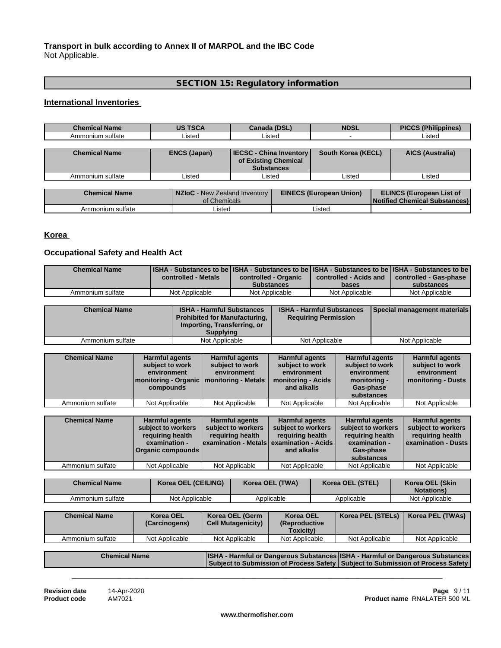# **Transport in bulk according to Annex II of MARPOL and the IBC Code** Not Applicable.

# **SECTION 15: Regulatory information**

#### **International Inventories**

| <b>Chemical Name</b> | <b>US TSCA</b>      | Canada (DSL)                                                                | <b>NDSL</b>        | <b>PICCS (Philippines)</b> |
|----------------------|---------------------|-----------------------------------------------------------------------------|--------------------|----------------------------|
| Ammonium sulfate     | Listed              | Listed                                                                      |                    | Listed                     |
|                      |                     |                                                                             |                    |                            |
| <b>Chemical Name</b> | <b>ENCS (Japan)</b> | <b>IECSC - China Inventory</b><br>of Existing Chemical<br><b>Substances</b> | South Korea (KECL) | <b>AICS (Australia)</b>    |
| Ammonium sulfate     | _isted              | Listed                                                                      | Listed             | Listed                     |

| <b>Chemical Name</b> | NZIoC - New Zealand Inventory<br>of Chemicals | <b>EINECS (European Union)</b> | <b>ELINCS (European List of</b><br><b>Notified Chemical Substances)</b> |
|----------------------|-----------------------------------------------|--------------------------------|-------------------------------------------------------------------------|
| Ammonium sulfate     | Listed                                        | .isted                         |                                                                         |

# **Korea**

# **Occupational Safety and Health Act**

| <b>Chemical Name</b> | [ISHA - Substances to be ISHA - Substances to be ISHA - Substances to be ISHA - Substances to be<br>controlled - Metals | controlled - Organic | controlled - Acids and | controlled - Gas-phase |
|----------------------|-------------------------------------------------------------------------------------------------------------------------|----------------------|------------------------|------------------------|
|                      |                                                                                                                         | <b>Substances</b>    | bases                  | substances             |
| Ammonium sulfate     | Not Applicable                                                                                                          | Not Applicable       | Not Applicable         | Not Applicable         |

| <b>Chemical Name</b> | <b>ISHA - Harmful Substances</b><br><b>Prohibited for Manufacturing,</b><br>Importing, Transferring, or<br><b>Supplying</b> | <b>ISHA - Harmful Substances</b><br><b>Requiring Permission</b> | <b>Special management materials</b> |
|----------------------|-----------------------------------------------------------------------------------------------------------------------------|-----------------------------------------------------------------|-------------------------------------|
| Ammonium sulfate     | Not Applicable                                                                                                              | Not Applicable                                                  | Not Applicable                      |

| <b>Chemical Name</b> | <b>Harmful agents</b><br>subject to work<br>environment<br>Imonitoring - Organic   monitoring - Metals<br>compounds | <b>Harmful agents</b><br>subject to work<br>environment | <b>Harmful agents</b><br>subject to work<br>environment<br>monitoring - Acids<br>and alkalis | <b>Harmful agents</b><br>subject to work<br>environment<br>monitoring -<br>Gas-phase<br>substances | <b>Harmful agents</b><br>subject to work<br>environment<br>monitoring - Dusts |
|----------------------|---------------------------------------------------------------------------------------------------------------------|---------------------------------------------------------|----------------------------------------------------------------------------------------------|----------------------------------------------------------------------------------------------------|-------------------------------------------------------------------------------|
| Ammonium sulfate     | Not Applicable                                                                                                      | Not Applicable                                          | Not Applicable                                                                               | Not Applicable                                                                                     | Not Applicable                                                                |

| <b>Chemical Name</b> | <b>Harmful agents</b><br>subject to workers<br>requiring health<br>examination -<br>Organic compounds | <b>Harmful agents</b><br>subject to workers<br>reguiring health | <b>Harmful agents</b><br>subject to workers<br>reguiring health<br><b>lexamination - Metals examination - Acids  </b><br>and alkalis | <b>Harmful agents</b><br>subject to workers<br>requiring health<br>examination -<br>Gas-phase<br>substances | <b>Harmful agents</b><br>subject to workers<br>requiring health<br>l examination - Dusts I |
|----------------------|-------------------------------------------------------------------------------------------------------|-----------------------------------------------------------------|--------------------------------------------------------------------------------------------------------------------------------------|-------------------------------------------------------------------------------------------------------------|--------------------------------------------------------------------------------------------|
| Ammonium sulfate     | Not Applicable                                                                                        | Not Applicable                                                  | Not Applicable                                                                                                                       | Not Applicable                                                                                              | Not Applicable                                                                             |

| <b>Chemical Name</b> | Korea OEL (CEILING) | Korea OEL (TWA) | Korea OEL (STEL) | Korea OEL (Skin<br><b>Notations</b> ) |
|----------------------|---------------------|-----------------|------------------|---------------------------------------|
| Ammonium sulfate     | Not Applicable      | Applicable      | Applicable       | Not Applicable                        |

| <b>Chemical Name</b> | <b>Korea OEL</b><br>(Carcinogens) | Korea OEL (Germ<br><b>Cell Mutagenicity)</b> | <b>Korea OEL</b><br><i><b>(Reproductive)</b></i><br><b>Toxicity)</b> | Korea PEL (STELs) | Korea PEL (TWAs) |
|----------------------|-----------------------------------|----------------------------------------------|----------------------------------------------------------------------|-------------------|------------------|
| Ammonium sulfate     | Not Applicable                    | Not Applicable                               | Not Applicable                                                       | Not Applicable    | Not Applicable   |

| <b>Chemical Name</b> | ISHA - Harmful or Dangerous Substances ISHA - Harmful or Dangerous Substances     |  |
|----------------------|-----------------------------------------------------------------------------------|--|
|                      | Subject to Submission of Process Safety   Subject to Submission of Process Safety |  |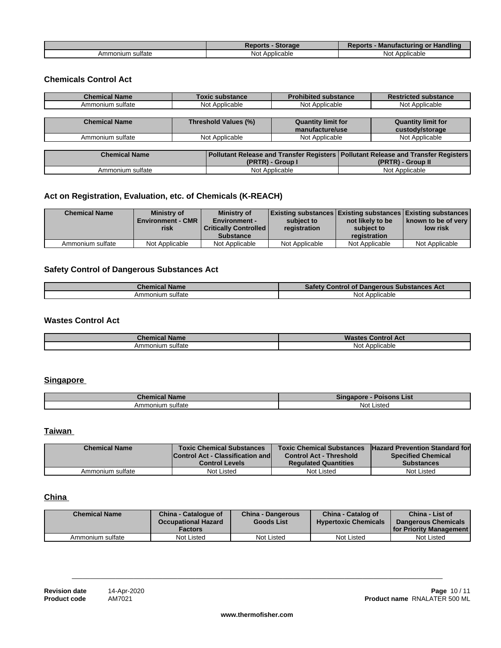|                       | Storage<br><b>Reports</b> | <b>Handling</b><br><b>Reports</b><br>- Manufacturino<br>or |
|-----------------------|---------------------------|------------------------------------------------------------|
| ∘ sultate<br>Ammonium | Applicable<br>Not         | - Annlicable<br>Not.<br>νιινανισ<br>טשר                    |

## **Chemicals Control Act**

| <b>Chemical Name</b> | <b>Toxic substance</b> | <b>Prohibited substance</b> | <b>Restricted substance</b> |
|----------------------|------------------------|-----------------------------|-----------------------------|
| Ammonium sulfate     | Not Applicable         | Not Applicable              | Not Applicable              |
|                      |                        |                             |                             |
| <b>Chemical Name</b> | Threshold Values (%)   | <b>Quantity limit for</b>   | <b>Quantity limit for</b>   |
|                      |                        | manufacture/use             | custody/storage             |
| Ammonium sulfate     | Not Applicable         | Not Applicable              | Not Applicable              |
|                      |                        |                             |                             |

| Chemical Name    | I Pollutant Release and Transfer Registers   Pollutant Release and Transfer Registers |                   |
|------------------|---------------------------------------------------------------------------------------|-------------------|
|                  | <b>'PRTR) - Group I</b>                                                               | (PRTR) - Group II |
| Ammonium sulfate | Not Applicable                                                                        | Not Applicable    |

# **Act on Registration, Evaluation, etc. of Chemicals (K-REACH)**

| <b>Chemical Name</b> | Ministry of<br><b>Environment - CMR</b><br>risk | <b>Ministry of</b><br><b>Environment -</b><br><b>Critically Controlled  </b><br><b>Substance</b> | Existing substances   Existing substances   Existing substances  <br>subject to<br>registration | not likely to be<br>subject to<br>registration | ∣ known to be of verv ∣<br>low risk |
|----------------------|-------------------------------------------------|--------------------------------------------------------------------------------------------------|-------------------------------------------------------------------------------------------------|------------------------------------------------|-------------------------------------|
| Ammonium sulfate     | Not Applicable                                  | Not Applicable                                                                                   | Not Applicable                                                                                  | Not Applicable                                 | Not Applicable                      |

# **Safety Control of Dangerous Substances Act**

| Chemical Name              | <b>Control of Dangerous Substances Act</b> |
|----------------------------|--------------------------------------------|
| sultate<br>nıur<br>Arnrnor | <b>Not</b><br>Applicable                   |

## **Wastes Control Act**

| $-0.00000$       |                    |
|------------------|--------------------|
| <b>Name</b>      | <b>Control Act</b> |
| Chemical         | wa                 |
|                  | Not                |
| Ammonium sultate | Applicable         |

## **Singapore**

| ' Name<br>unemical                     | 'oisons List<br>--------<br>Sın |
|----------------------------------------|---------------------------------|
| <br>sultate<br>mmoniun.<br>$H_{\rm 1}$ | Not<br>∵ısteo                   |

## **Taiwan**

| <b>Chemical Name</b> | <b>Toxic Chemical Substances</b>        | <b>Toxic Chemical Substances</b> | <b>Hazard Prevention Standard for</b> |
|----------------------|-----------------------------------------|----------------------------------|---------------------------------------|
|                      | <b>Control Act - Classification and</b> | <b>Control Act - Threshold</b>   | <b>Specified Chemical</b>             |
|                      | <b>Control Levels</b>                   | <b>Regulated Quantities</b>      | <b>Substances</b>                     |
| Ammonium sulfate     | Not Listed                              | Not Listed                       | Not Listed                            |

# **China**

| <b>Chemical Name</b> | China - Catalogue of<br><b>Occupational Hazard</b><br><b>Factors</b> | <b>China - Dangerous</b><br><b>Goods List</b> | China - Catalog of<br><b>Hypertoxic Chemicals</b> | China - List of<br><b>Dangerous Chemicals</b><br><b>If or Priority Management I</b> |
|----------------------|----------------------------------------------------------------------|-----------------------------------------------|---------------------------------------------------|-------------------------------------------------------------------------------------|
| Ammonium sulfate     | Not Listed                                                           | Not Listed                                    | Not Listed                                        | Not Listed                                                                          |